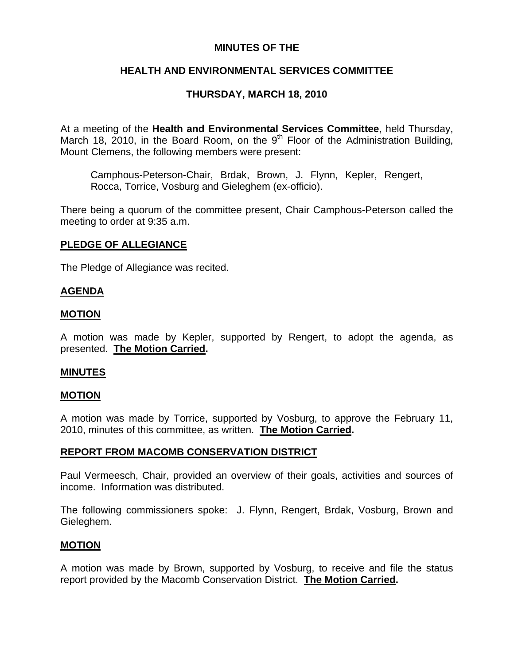# **MINUTES OF THE**

# **HEALTH AND ENVIRONMENTAL SERVICES COMMITTEE**

# **THURSDAY, MARCH 18, 2010**

At a meeting of the **Health and Environmental Services Committee**, held Thursday, March 18, 2010, in the Board Room, on the  $9<sup>th</sup>$  Floor of the Administration Building, Mount Clemens, the following members were present:

Camphous-Peterson-Chair, Brdak, Brown, J. Flynn, Kepler, Rengert, Rocca, Torrice, Vosburg and Gieleghem (ex-officio).

There being a quorum of the committee present, Chair Camphous-Peterson called the meeting to order at 9:35 a.m.

# **PLEDGE OF ALLEGIANCE**

The Pledge of Allegiance was recited.

# **AGENDA**

# **MOTION**

A motion was made by Kepler, supported by Rengert, to adopt the agenda, as presented. **The Motion Carried.** 

## **MINUTES**

## **MOTION**

A motion was made by Torrice, supported by Vosburg, to approve the February 11, 2010, minutes of this committee, as written. **The Motion Carried.** 

# **REPORT FROM MACOMB CONSERVATION DISTRICT**

Paul Vermeesch, Chair, provided an overview of their goals, activities and sources of income. Information was distributed.

The following commissioners spoke: J. Flynn, Rengert, Brdak, Vosburg, Brown and Gieleghem.

## **MOTION**

A motion was made by Brown, supported by Vosburg, to receive and file the status report provided by the Macomb Conservation District. **The Motion Carried.**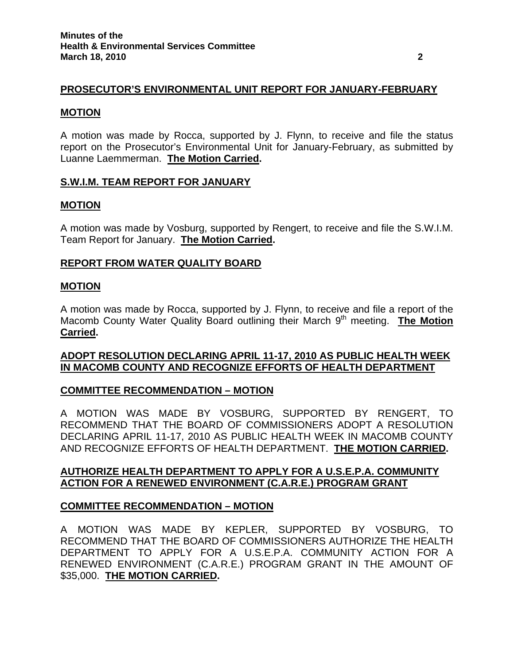# **PROSECUTOR'S ENVIRONMENTAL UNIT REPORT FOR JANUARY-FEBRUARY**

### **MOTION**

A motion was made by Rocca, supported by J. Flynn, to receive and file the status report on the Prosecutor's Environmental Unit for January-February, as submitted by Luanne Laemmerman. **The Motion Carried.** 

### **S.W.I.M. TEAM REPORT FOR JANUARY**

### **MOTION**

A motion was made by Vosburg, supported by Rengert, to receive and file the S.W.I.M. Team Report for January. **The Motion Carried.** 

## **REPORT FROM WATER QUALITY BOARD**

### **MOTION**

A motion was made by Rocca, supported by J. Flynn, to receive and file a report of the Macomb County Water Quality Board outlining their March 9<sup>th</sup> meeting. **The Motion Carried.** 

# **ADOPT RESOLUTION DECLARING APRIL 11-17, 2010 AS PUBLIC HEALTH WEEK IN MACOMB COUNTY AND RECOGNIZE EFFORTS OF HEALTH DEPARTMENT**

## **COMMITTEE RECOMMENDATION – MOTION**

A MOTION WAS MADE BY VOSBURG, SUPPORTED BY RENGERT, TO RECOMMEND THAT THE BOARD OF COMMISSIONERS ADOPT A RESOLUTION DECLARING APRIL 11-17, 2010 AS PUBLIC HEALTH WEEK IN MACOMB COUNTY AND RECOGNIZE EFFORTS OF HEALTH DEPARTMENT. **THE MOTION CARRIED.** 

# **AUTHORIZE HEALTH DEPARTMENT TO APPLY FOR A U.S.E.P.A. COMMUNITY ACTION FOR A RENEWED ENVIRONMENT (C.A.R.E.) PROGRAM GRANT**

## **COMMITTEE RECOMMENDATION – MOTION**

A MOTION WAS MADE BY KEPLER, SUPPORTED BY VOSBURG, TO RECOMMEND THAT THE BOARD OF COMMISSIONERS AUTHORIZE THE HEALTH DEPARTMENT TO APPLY FOR A U.S.E.P.A. COMMUNITY ACTION FOR A RENEWED ENVIRONMENT (C.A.R.E.) PROGRAM GRANT IN THE AMOUNT OF \$35,000. **THE MOTION CARRIED.**